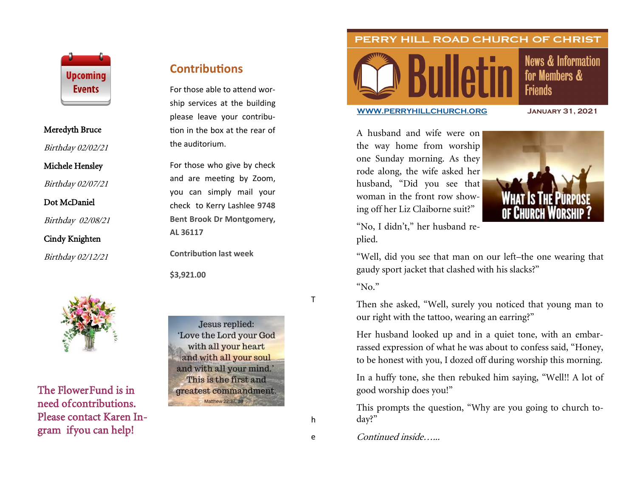

#### Meredyth Bruce

Birthday 02/02/21

### Michele Hensley

Birthday 02/07/21

### Dot McDaniel

Birthday 02/08/21

## Cindy Knighten

Birthday 02/12/21



The Flower Fund is in need of contributions. Please contact Karen Ingram if you can help!

# **Contributions**

For those able to attend worship services at the building please leave your contribution in the box at the rear of the auditorium.

For those who give by check and are meeting by Zoom, you can simply mail your check to Kerry Lashlee **9748 Bent Brook Dr Montgomery, AL 36117**

**Contribution last week**

**\$3,921.00**

Jesus replied: 'Love the Lord your God with all your heart and with all your soul and with all your mind.' This is the first and greatest commandment. Matthew 22:37, 38

h

T

PERRY HILL ROAD CHURCH OF CHRIST



# **News & Information** for Members & **Friends**

#### **[WWW.PERRYHILLCHURCH.ORG](http://www.perryhillchurch.org) January 31, 2021**

A husband and wife were on the way home from worship one Sunday morning. As they rode along, the wife asked her husband, "Did you see that woman in the front row showing off her Liz Claiborne suit?"



"No, I didn't," her husband replied.

"Well, did you see that man on our left–the one wearing that gaudy sport jacket that clashed with his slacks?"

"No."

Then she asked, "Well, surely you noticed that young man to our right with the tattoo, wearing an earring?"

Her husband looked up and in a quiet tone, with an embarrassed expression of what he was about to confess said, "Honey, to be honest with you, I dozed off during worship this morning.

In a huffy tone, she then rebuked him saying, "Well!! A lot of good worship does you!"

This prompts the question, "Why are you going to church today?"

Continued inside…...

e